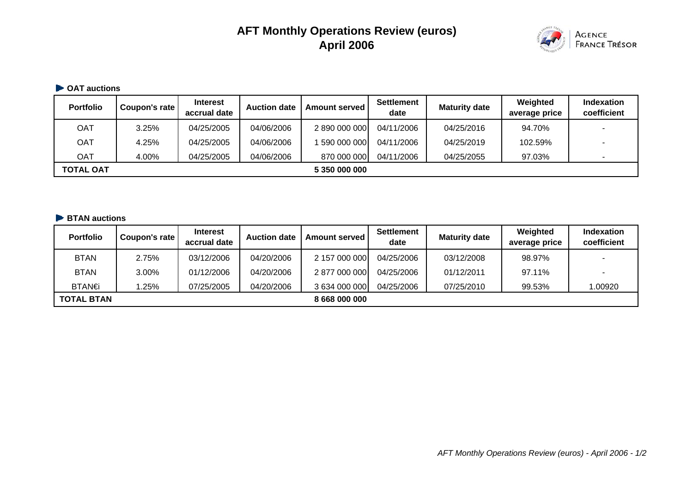# **AFT Monthly Operations Review (euros) April 2006**



#### **OAT auctions**

| <b>Portfolio</b> | Coupon's rate | <b>Interest</b><br>accrual date | <b>Auction date</b> | <b>Amount served</b> | <b>Settlement</b><br>date | <b>Maturity date</b> | Weighted<br>average price | Indexation<br>coefficient |
|------------------|---------------|---------------------------------|---------------------|----------------------|---------------------------|----------------------|---------------------------|---------------------------|
| OAT              | 3.25%         | 04/25/2005                      | 04/06/2006          | 2 890 000 000        | 04/11/2006                | 04/25/2016           | 94.70%                    |                           |
| OAT              | 4.25%         | 04/25/2005                      | 04/06/2006          | 590 000 000          | 04/11/2006                | 04/25/2019           | 102.59%                   |                           |
| OAT              | 4.00%         | 04/25/2005                      | 04/06/2006          | 870 000 000          | 04/11/2006                | 04/25/2055           | 97.03%                    |                           |
| <b>TOTAL OAT</b> |               |                                 |                     | 5 350 000 000        |                           |                      |                           |                           |

#### **BTAN auctions**

| <b>Portfolio</b>  | Coupon's rate | <b>Interest</b><br>accrual date | <b>Auction date</b> | <b>Amount served</b> | <b>Settlement</b><br>date | <b>Maturity date</b> | Weighted<br>average price | Indexation<br>coefficient |
|-------------------|---------------|---------------------------------|---------------------|----------------------|---------------------------|----------------------|---------------------------|---------------------------|
| <b>BTAN</b>       | 2.75%         | 03/12/2006                      | 04/20/2006          | 2 157 000 000        | 04/25/2006                | 03/12/2008           | 98.97%                    |                           |
| <b>BTAN</b>       | 3.00%         | 01/12/2006                      | 04/20/2006          | 2 877 000 000        | 04/25/2006                | 01/12/2011           | 97.11%                    |                           |
| BTAN€             | .25%          | 07/25/2005                      | 04/20/2006          | 3 634 000 000        | 04/25/2006                | 07/25/2010           | 99.53%                    | 1.00920                   |
| <b>TOTAL BTAN</b> |               |                                 |                     | 8 668 000 000        |                           |                      |                           |                           |